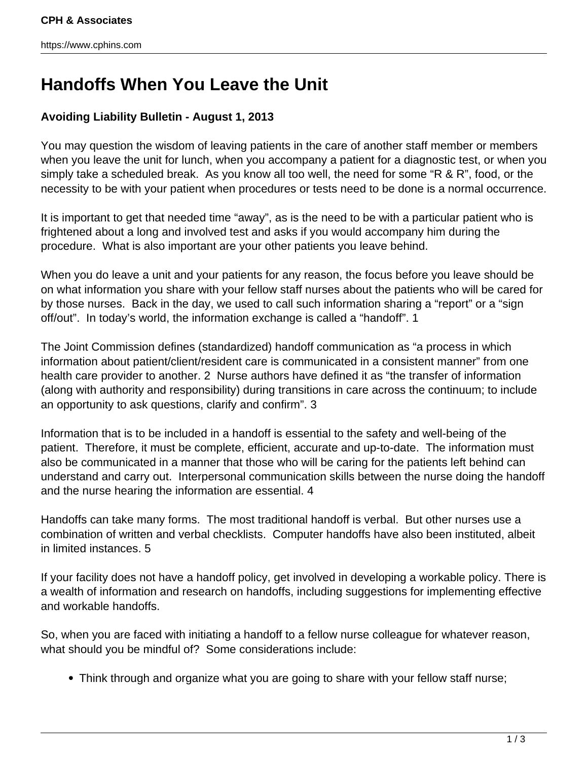## **Handoffs When You Leave the Unit**

## **Avoiding Liability Bulletin - August 1, 2013**

You may question the wisdom of leaving patients in the care of another staff member or members when you leave the unit for lunch, when you accompany a patient for a diagnostic test, or when you simply take a scheduled break. As you know all too well, the need for some "R & R", food, or the necessity to be with your patient when procedures or tests need to be done is a normal occurrence.

It is important to get that needed time "away", as is the need to be with a particular patient who is frightened about a long and involved test and asks if you would accompany him during the procedure. What is also important are your other patients you leave behind.

When you do leave a unit and your patients for any reason, the focus before you leave should be on what information you share with your fellow staff nurses about the patients who will be cared for by those nurses. Back in the day, we used to call such information sharing a "report" or a "sign off/out". In today's world, the information exchange is called a "handoff". 1

The Joint Commission defines (standardized) handoff communication as "a process in which information about patient/client/resident care is communicated in a consistent manner" from one health care provider to another. 2 Nurse authors have defined it as "the transfer of information (along with authority and responsibility) during transitions in care across the continuum; to include an opportunity to ask questions, clarify and confirm". 3

Information that is to be included in a handoff is essential to the safety and well-being of the patient. Therefore, it must be complete, efficient, accurate and up-to-date. The information must also be communicated in a manner that those who will be caring for the patients left behind can understand and carry out. Interpersonal communication skills between the nurse doing the handoff and the nurse hearing the information are essential. 4

Handoffs can take many forms. The most traditional handoff is verbal. But other nurses use a combination of written and verbal checklists. Computer handoffs have also been instituted, albeit in limited instances. 5

If your facility does not have a handoff policy, get involved in developing a workable policy. There is a wealth of information and research on handoffs, including suggestions for implementing effective and workable handoffs.

So, when you are faced with initiating a handoff to a fellow nurse colleague for whatever reason, what should you be mindful of? Some considerations include:

Think through and organize what you are going to share with your fellow staff nurse;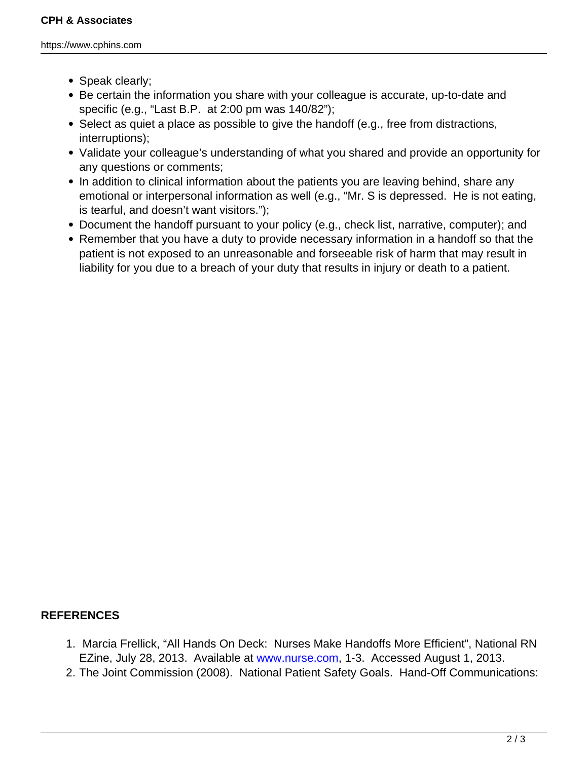https://www.cphins.com

- Speak clearly;
- Be certain the information you share with your colleague is accurate, up-to-date and specific (e.g., "Last B.P. at 2:00 pm was 140/82");
- Select as quiet a place as possible to give the handoff (e.g., free from distractions, interruptions);
- Validate your colleague's understanding of what you shared and provide an opportunity for any questions or comments;
- In addition to clinical information about the patients you are leaving behind, share any emotional or interpersonal information as well (e.g., "Mr. S is depressed. He is not eating, is tearful, and doesn't want visitors.");
- Document the handoff pursuant to your policy (e.g., check list, narrative, computer); and
- Remember that you have a duty to provide necessary information in a handoff so that the patient is not exposed to an unreasonable and forseeable risk of harm that may result in liability for you due to a breach of your duty that results in injury or death to a patient.

## **REFERENCES**

- 1. Marcia Frellick, "All Hands On Deck: Nurses Make Handoffs More Efficient", National RN EZine, July 28, 2013. Available at [www.nurse.com,](http://www.nurse.com) 1-3. Accessed August 1, 2013.
- 2. The Joint Commission (2008). National Patient Safety Goals. Hand-Off Communications: